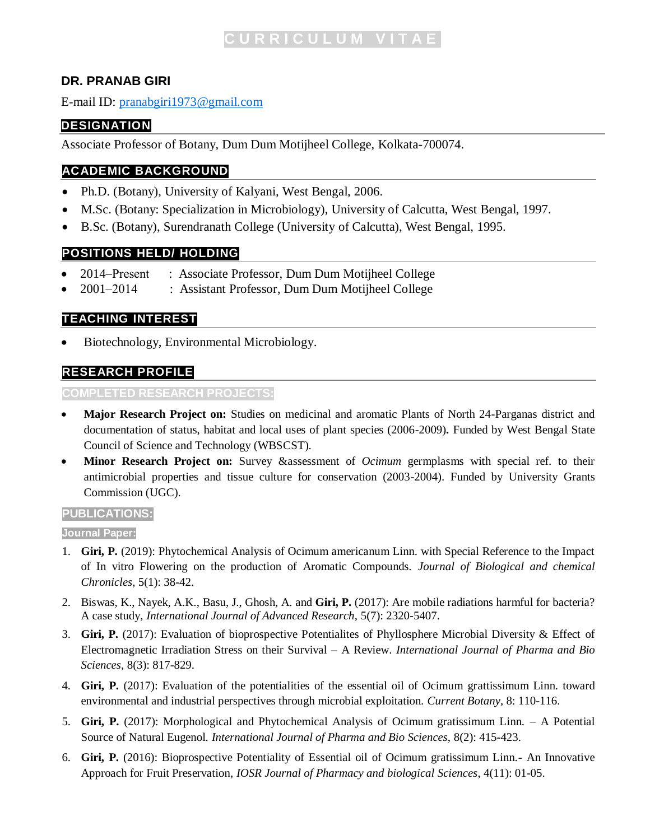# **DR. PRANAB GIRI**

E-mail ID: [pranabgiri1973@gmail.com](mailto:pranabgiri1973@gmail.com)

## **DESIGNATION**

Associate Professor of Botany, Dum Dum Motijheel College, Kolkata-700074.

## **ACADEMIC BACKGROUND**

- Ph.D. (Botany), University of Kalyani, West Bengal, 2006.
- M.Sc. (Botany: Specialization in Microbiology), University of Calcutta, West Bengal, 1997.
- B.Sc. (Botany), Surendranath College (University of Calcutta), West Bengal, 1995.

### **POSITIONS HELD/ HOLDING**

- 2014–Present : Associate Professor, Dum Dum Motijheel College
- 2001‒2014 : Assistant Professor, Dum Dum Motijheel College

### **TEACHING INTEREST**

• Biotechnology, Environmental Microbiology.

# **RESEARCH PROFILE**

#### **COMPLETED RESEARCH PROJECTS:**

- **Major Research Project on:** Studies on medicinal and aromatic Plants of North 24-Parganas district and documentation of status, habitat and local uses of plant species (2006-2009)**.** Funded by West Bengal State Council of Science and Technology (WBSCST).
- **Minor Research Project on:** Survey &assessment of *Ocimum* germplasms with special ref. to their antimicrobial properties and tissue culture for conservation (2003-2004). Funded by University Grants Commission (UGC).

### **PUBLICATIONS:**

#### **Journal Paper:**

- 1. **Giri, P.** (2019): Phytochemical Analysis of Ocimum americanum Linn. with Special Reference to the Impact of In vitro Flowering on the production of Aromatic Compounds. *Journal of Biological and chemical Chronicles*, 5(1): 38-42.
- 2. Biswas, K., Nayek, A.K., Basu, J., Ghosh, A. and **Giri, P.** (2017): Are mobile radiations harmful for bacteria? A case study, *International Journal of Advanced Research*, 5(7): 2320-5407.
- 3. **Giri, P.** (2017): Evaluation of bioprospective Potentialites of Phyllosphere Microbial Diversity & Effect of Electromagnetic Irradiation Stress on their Survival – A Review. *International Journal of Pharma and Bio Sciences*, 8(3): 817-829.
- 4. **Giri, P.** (2017): Evaluation of the potentialities of the essential oil of Ocimum grattissimum Linn. toward environmental and industrial perspectives through microbial exploitation. *Current Botany*, 8: 110-116.
- 5. **Giri, P.** (2017): Morphological and Phytochemical Analysis of Ocimum gratissimum Linn. A Potential Source of Natural Eugenol. *International Journal of Pharma and Bio Sciences*, 8(2): 415-423.
- 6. **Giri, P.** (2016): Bioprospective Potentiality of Essential oil of Ocimum gratissimum Linn.- An Innovative Approach for Fruit Preservation, *IOSR Journal of Pharmacy and biological Sciences*, 4(11): 01-05.